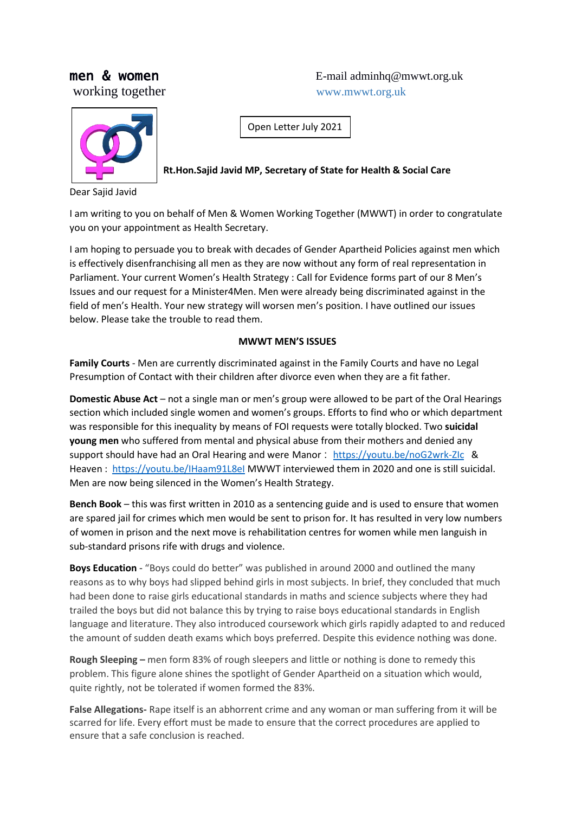Dear Sajid Javid

**men & women** E-mail adminhq@mwwt.org.uk working together www.mwwt.org.uk

Open Letter July 2021

**Rt.Hon.Sajid Javid MP, Secretary of State for Health & Social Care**

I am writing to you on behalf of Men & Women Working Together (MWWT) in order to congratulate you on your appointment as Health Secretary.

I am hoping to persuade you to break with decades of Gender Apartheid Policies against men which is effectively disenfranchising all men as they are now without any form of real representation in Parliament. Your current Women's Health Strategy : Call for Evidence forms part of our 8 Men's Issues and our request for a Minister4Men. Men were already being discriminated against in the field of men's Health. Your new strategy will worsen men's position. I have outlined our issues below. Please take the trouble to read them.

#### **MWWT MEN'S ISSUES**

**Family Courts** - Men are currently discriminated against in the Family Courts and have no Legal Presumption of Contact with their children after divorce even when they are a fit father.

**Domestic Abuse Act** – not a single man or men's group were allowed to be part of the Oral Hearings section which included single women and women's groups. Efforts to find who or which department was responsible for this inequality by means of FOI requests were totally blocked. Two **suicidal young men** who suffered from mental and physical abuse from their mothers and denied any support should have had an Oral Hearing and were Manor : <https://youtu.be/noG2wrk-ZIc> & Heaven : <https://youtu.be/IHaam91L8eI> MWWT interviewed them in 2020 and one is still suicidal. Men are now being silenced in the Women's Health Strategy.

**Bench Book** – this was first written in 2010 as a sentencing guide and is used to ensure that women are spared jail for crimes which men would be sent to prison for. It has resulted in very low numbers of women in prison and the next move is rehabilitation centres for women while men languish in sub-standard prisons rife with drugs and violence.

**Boys Education** - "Boys could do better" was published in around 2000 and outlined the many reasons as to why boys had slipped behind girls in most subjects. In brief, they concluded that much had been done to raise girls educational standards in maths and science subjects where they had trailed the boys but did not balance this by trying to raise boys educational standards in English language and literature. They also introduced coursework which girls rapidly adapted to and reduced the amount of sudden death exams which boys preferred. Despite this evidence nothing was done.

**Rough Sleeping –** men form 83% of rough sleepers and little or nothing is done to remedy this problem. This figure alone shines the spotlight of Gender Apartheid on a situation which would, quite rightly, not be tolerated if women formed the 83%.

**False Allegations-** Rape itself is an abhorrent crime and any woman or man suffering from it will be scarred for life. Every effort must be made to ensure that the correct procedures are applied to ensure that a safe conclusion is reached.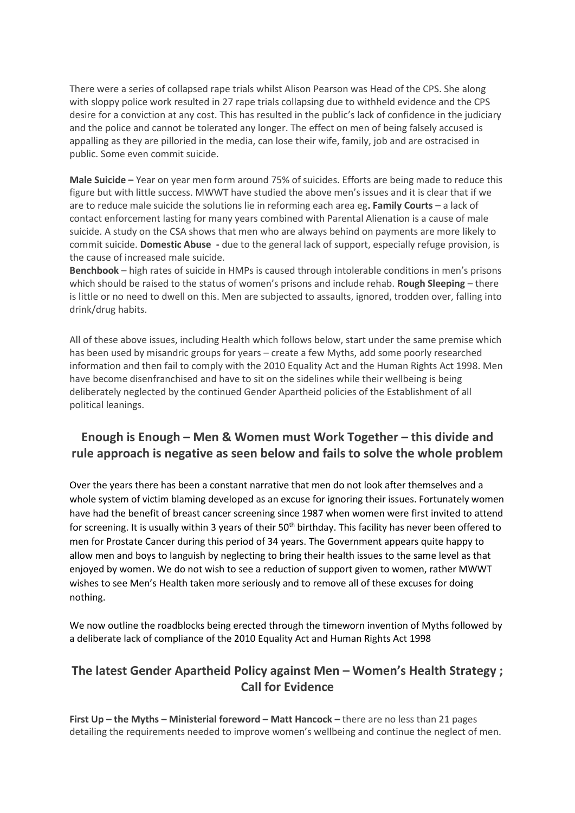There were a series of collapsed rape trials whilst Alison Pearson was Head of the CPS. She along with sloppy police work resulted in 27 rape trials collapsing due to withheld evidence and the CPS desire for a conviction at any cost. This has resulted in the public's lack of confidence in the judiciary and the police and cannot be tolerated any longer. The effect on men of being falsely accused is appalling as they are pilloried in the media, can lose their wife, family, job and are ostracised in public. Some even commit suicide.

**Male Suicide –** Year on year men form around 75% of suicides. Efforts are being made to reduce this figure but with little success. MWWT have studied the above men's issues and it is clear that if we are to reduce male suicide the solutions lie in reforming each area eg**. Family Courts** – a lack of contact enforcement lasting for many years combined with Parental Alienation is a cause of male suicide. A study on the CSA shows that men who are always behind on payments are more likely to commit suicide. **Domestic Abuse -** due to the general lack of support, especially refuge provision, is the cause of increased male suicide.

**Benchbook** – high rates of suicide in HMPs is caused through intolerable conditions in men's prisons which should be raised to the status of women's prisons and include rehab. **Rough Sleeping** – there is little or no need to dwell on this. Men are subjected to assaults, ignored, trodden over, falling into drink/drug habits.

All of these above issues, including Health which follows below, start under the same premise which has been used by misandric groups for years – create a few Myths, add some poorly researched information and then fail to comply with the 2010 Equality Act and the Human Rights Act 1998. Men have become disenfranchised and have to sit on the sidelines while their wellbeing is being deliberately neglected by the continued Gender Apartheid policies of the Establishment of all political leanings.

# **Enough is Enough – Men & Women must Work Together – this divide and rule approach is negative as seen below and fails to solve the whole problem**

Over the years there has been a constant narrative that men do not look after themselves and a whole system of victim blaming developed as an excuse for ignoring their issues. Fortunately women have had the benefit of breast cancer screening since 1987 when women were first invited to attend for screening. It is usually within 3 years of their 50<sup>th</sup> birthday. This facility has never been offered to men for Prostate Cancer during this period of 34 years. The Government appears quite happy to allow men and boys to languish by neglecting to bring their health issues to the same level as that enjoyed by women. We do not wish to see a reduction of support given to women, rather MWWT wishes to see Men's Health taken more seriously and to remove all of these excuses for doing nothing.

We now outline the roadblocks being erected through the timeworn invention of Myths followed by a deliberate lack of compliance of the 2010 Equality Act and Human Rights Act 1998

# **The latest Gender Apartheid Policy against Men – Women's Health Strategy ; Call for Evidence**

**First Up – the Myths – Ministerial foreword – Matt Hancock –** there are no less than 21 pages detailing the requirements needed to improve women's wellbeing and continue the neglect of men.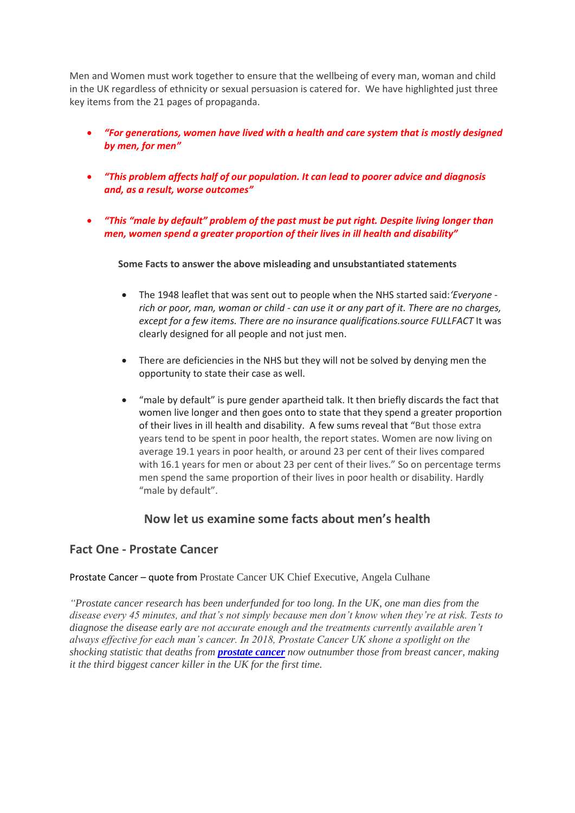Men and Women must work together to ensure that the wellbeing of every man, woman and child in the UK regardless of ethnicity or sexual persuasion is catered for. We have highlighted just three key items from the 21 pages of propaganda.

- *"For generations, women have lived with a health and care system that is mostly designed by men, for men"*
- *"This problem affects half of our population. It can lead to poorer advice and diagnosis and, as a result, worse outcomes"*
- *"This "male by default" problem of the past must be put right. Despite living longer than men, women spend a greater proportion of their lives in ill health and disability"*

**Some Facts to answer the above misleading and unsubstantiated statements**

- [The 1948 leaflet](http://contentdm.warwick.ac.uk/cdm/ref/collection/health/id/1400) that was sent out to people when the NHS started said:*'Everyone rich or poor, man, woman or child - can use it or any part of it. There are no charges, except for a few items. There are no insurance qualifications.source FULLFACT It was* clearly designed for all people and not just men.
- There are deficiencies in the NHS but they will not be solved by denying men the opportunity to state their case as well.
- "male by default" is pure gender apartheid talk. It then briefly discards the fact that women live longer and then goes onto to state that they spend a greater proportion of their lives in ill health and disability. A few sums reveal that "But those extra years tend to be spent in poor health, the report states. Women are now living on average 19.1 years in poor health, or around 23 per cent of their lives compared with 16.1 years for men or about 23 per cent of their lives." So on percentage terms men spend the same proportion of their lives in poor health or disability. Hardly "male by default".

#### **Now let us examine some facts about men's health**

#### **Fact One - Prostate Cancer**

Prostate Cancer – quote from Prostate Cancer UK Chief Executive, Angela Culhane

*"Prostate cancer research has been underfunded for too long. In the UK, one man dies from the disease every 45 minutes, and that's not simply because men don't know when they're at risk. Tests to diagnose the disease early are not accurate enough and the treatments currently available aren't always effective for each man's cancer. In 2018, Prostate Cancer UK shone a spotlight on the shocking statistic that deaths from [prostate cancer](https://www.openaccessgovernment.org/prostate-cancer-men/50987/) now outnumber those from breast cancer, making it the third biggest cancer killer in the UK for the first time.*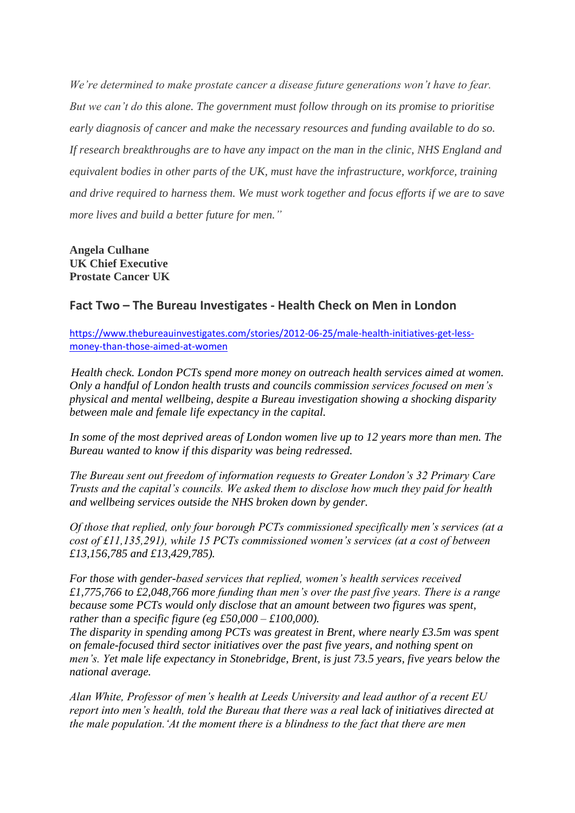*We're determined to make prostate cancer a disease future generations won't have to fear. But we can't do this alone. The government must follow through on its promise to prioritise early diagnosis of cancer and make the necessary resources and funding available to do so. If research breakthroughs are to have any impact on the man in the clinic, NHS England and equivalent bodies in other parts of the UK, must have the infrastructure, workforce, training and drive required to harness them. We must work together and focus efforts if we are to save more lives and build a better future for men."*

**Angela Culhane UK Chief Executive Prostate Cancer UK**

### **Fact Two – The Bureau Investigates - Health Check on Men in London**

[https://www.thebureauinvestigates.com/stories/2012-06-25/male-health-initiatives-get-less](https://www.thebureauinvestigates.com/stories/2012-06-25/male-health-initiatives-get-less-money-than-those-aimed-at-women)[money-than-those-aimed-at-women](https://www.thebureauinvestigates.com/stories/2012-06-25/male-health-initiatives-get-less-money-than-those-aimed-at-women)

*Health check. London PCTs spend more money on outreach health services aimed at women. Only a handful of London health trusts and councils commission services focused on men's physical and mental wellbeing, despite a Bureau investigation showing a shocking disparity between male and female life expectancy in the capital.*

*In some of the most deprived areas of London women live up to 12 years more than men. The Bureau wanted to know if this disparity was being redressed.*

*The Bureau sent out freedom of information requests to Greater London's 32 Primary Care Trusts and the capital's councils. We asked them to disclose how much they paid for health and wellbeing services outside the NHS broken down by gender.*

*Of those that replied, only four borough PCTs commissioned specifically men's services (at a cost of £11,135,291), while 15 PCTs commissioned women's services (at a cost of between £13,156,785 and £13,429,785).*

*For those with gender-based services that replied, women's health services received £1,775,766 to £2,048,766 more funding than men's over the past five years. There is a range because some PCTs would only disclose that an amount between two figures was spent, rather than a specific figure (eg £50,000 – £100,000).*

*The disparity in spending among PCTs was greatest in Brent, where nearly £3.5m was spent on female-focused third sector initiatives over the past five years, and nothing spent on men's. Yet male life expectancy in Stonebridge, Brent, is just 73.5 years, five years below the national average.*

*Alan White, Professor of men's health at Leeds University and lead author of a recent EU report into men's health, told the Bureau that there was a real lack of initiatives directed at the male population.'At the moment there is a blindness to the fact that there are men*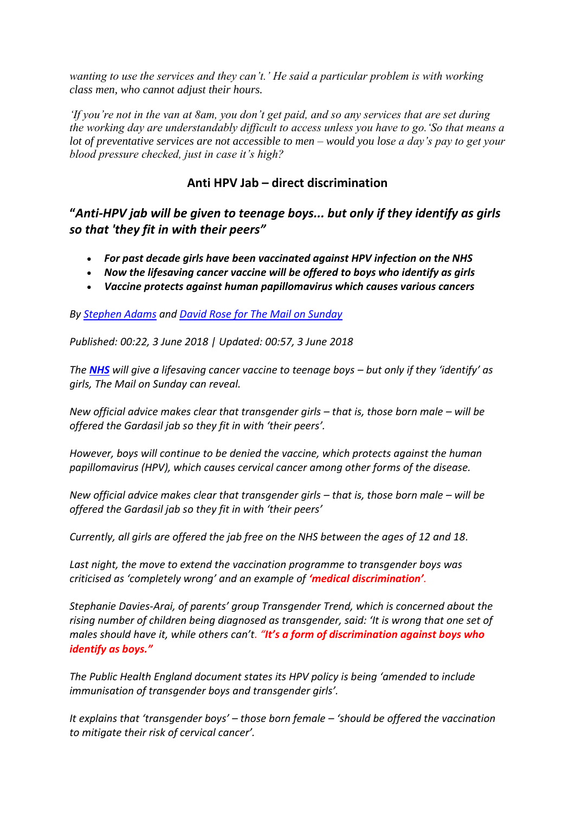*wanting to use the services and they can't.' He said a particular problem is with working class men, who cannot adjust their hours.*

*'If you're not in the van at 8am, you don't get paid, and so any services that are set during the working day are understandably difficult to access unless you have to go.'So that means a lot of preventative services are not accessible to men – would you lose a day's pay to get your blood pressure checked, just in case it's high?*

### **Anti HPV Jab – direct discrimination**

**"***Anti-HPV jab will be given to teenage boys... but only if they identify as girls so that 'they fit in with their peers"*

- *For past decade girls have been vaccinated against HPV infection on the NHS*
- *Now the lifesaving cancer vaccine will be offered to boys who identify as girls*
- *Vaccine protects against human papillomavirus which causes various cancers*

*By [Stephen Adams](http://www.dailymail.co.uk/home/search.html?s=&authornamef=Stephen+Adams) and [David Rose for The Mail on Sunday](http://www.dailymail.co.uk/home/search.html?s=&authornamef=David+Rose+for+The+Mail+on+Sunday)*

*Published: 00:22, 3 June 2018 | Updated: 00:57, 3 June 2018* 

*The [NHS](http://www.dailymail.co.uk/news/nhs/index.html)* will give a lifesaving cancer vaccine to teenage boys – but only if they 'identify' as *girls, The Mail on Sunday can reveal.*

*New official advice makes clear that transgender girls – that is, those born male – will be offered the Gardasil jab so they fit in with 'their peers'.*

*However, boys will continue to be denied the vaccine, which protects against the human papillomavirus (HPV), which causes cervical cancer among other forms of the disease.*

*New official advice makes clear that transgender girls – that is, those born male – will be offered the Gardasil jab so they fit in with 'their peers'*

*Currently, all girls are offered the jab free on the NHS between the ages of 12 and 18.*

*Last night, the move to extend the vaccination programme to transgender boys was criticised as 'completely wrong' and an example of 'medical discrimination'.*

*Stephanie Davies-Arai, of parents' group Transgender Trend, which is concerned about the rising number of children being diagnosed as transgender, said: 'It is wrong that one set of males should have it, while others can't. "It's a form of discrimination against boys who identify as boys."*

*The Public Health England document states its HPV policy is being 'amended to include immunisation of transgender boys and transgender girls'.*

*It explains that 'transgender boys' – those born female – 'should be offered the vaccination to mitigate their risk of cervical cancer'.*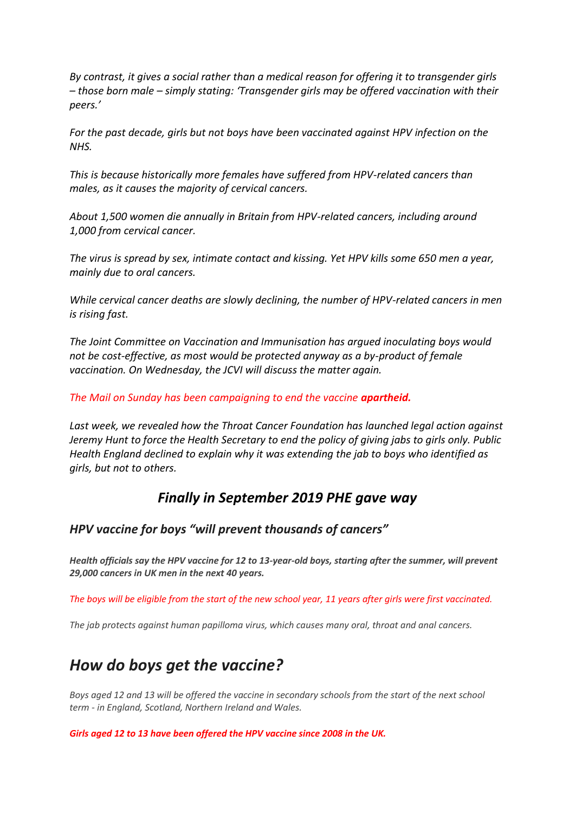*By contrast, it gives a social rather than a medical reason for offering it to transgender girls – those born male – simply stating: 'Transgender girls may be offered vaccination with their peers.'*

*For the past decade, girls but not boys have been vaccinated against HPV infection on the NHS.*

*This is because historically more females have suffered from HPV-related cancers than males, as it causes the majority of cervical cancers.*

*About 1,500 women die annually in Britain from HPV-related cancers, including around 1,000 from cervical cancer.*

*The virus is spread by sex, intimate contact and kissing. Yet HPV kills some 650 men a year, mainly due to oral cancers.*

*While cervical cancer deaths are slowly declining, the number of HPV-related cancers in men is rising fast.*

*The Joint Committee on Vaccination and Immunisation has argued inoculating boys would not be cost-effective, as most would be protected anyway as a by-product of female vaccination. On Wednesday, the JCVI will discuss the matter again.*

*The Mail on Sunday has been campaigning to end the vaccine apartheid.*

*Last week, we revealed how the Throat Cancer Foundation has launched legal action against Jeremy Hunt to force the Health Secretary to end the policy of giving jabs to girls only. Public Health England declined to explain why it was extending the jab to boys who identified as girls, but not to others.*

# *Finally in September 2019 PHE gave way*

### *HPV vaccine for boys "will prevent thousands of cancers"*

*Health officials say the HPV vaccine for 12 to 13-year-old boys, starting after the summer, will prevent 29,000 cancers in UK men in the next 40 years.*

*The boys will be eligible from the start of the new school year, 11 years after girls were first vaccinated.*

*The jab protects against human papilloma virus, which causes many oral, throat and anal cancers.*

# *How do boys get the vaccine?*

*Boys aged 12 and 13 will be offered the vaccine in secondary schools from the start of the next school term - in England, Scotland, Northern Ireland and Wales.*

*Girls aged 12 to 13 have been offered the HPV vaccine since 2008 in the UK.*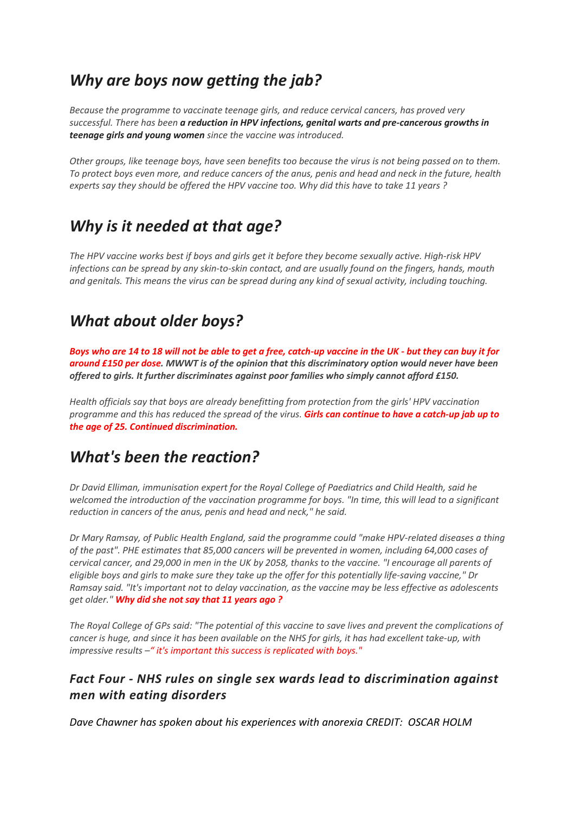# *Why are boys now getting the jab?*

*Because the programme to vaccinate teenage girls, and reduce cervical cancers, has proved very successful. There has been [a reduction in HPV infections, genital warts and pre-cancerous growths in](https://www.bbc.co.uk/news/health-48758730)  [teenage girls and young women](https://www.bbc.co.uk/news/health-48758730) since the vaccine was introduced.*

*Other groups, like teenage boys, have seen benefits too because the virus is not being passed on to them. To protect boys even more, and reduce cancers of the anus, penis and head and neck in the future, health experts say they should be offered the HPV vaccine too. Why did this have to take 11 years ?*

# *Why is it needed at that age?*

*The HPV vaccine works best if boys and girls get it before they become sexually active. High-risk HPV infections can be spread by any skin-to-skin contact, and are usually found on the fingers, hands, mouth and genitals. This means the virus can be spread during any kind of sexual activity, including touching.*

# *What about older boys?*

*Boys who are 14 to 18 will not be able to get a free, catch-up vaccine in the UK - but they can buy it for around £150 per dose. MWWT is of the opinion that this discriminatory option would never have been offered to girls. It further discriminates against poor families who simply cannot afford £150.*

*Health officials say that boys are already benefitting from protection from the girls' HPV vaccination programme and this has reduced the spread of the virus. Girls can continue to have a catch-up jab up to the age of 25. Continued discrimination.*

# *What's been the reaction?*

*Dr David Elliman, immunisation expert for the Royal College of Paediatrics and Child Health, said he welcomed the introduction of the vaccination programme for boys. "In time, this will lead to a significant reduction in cancers of the anus, penis and head and neck," he said.*

*Dr Mary Ramsay, of Public Health England, said the programme could "make HPV-related diseases a thing of the past". PHE estimates that 85,000 cancers will be prevented in women, including 64,000 cases of cervical cancer, and 29,000 in men in the UK by 2058, thanks to the vaccine. "I encourage all parents of eligible boys and girls to make sure they take up the offer for this potentially life-saving vaccine," Dr Ramsay said. "It's important not to delay vaccination, as the vaccine may be less effective as adolescents get older." Why did she not say that 11 years ago ?*

*The Royal College of GPs said: "The potential of this vaccine to save lives and prevent the complications of cancer is huge, and since it has been available on the NHS for girls, it has had excellent take-up, with impressive results –" it's important this success is replicated with boys."*

# *Fact Four - NHS rules on single sex wards lead to discrimination against men with eating disorders*

*Dave Chawner has spoken about his experiences with anorexia CREDIT: OSCAR HOLM*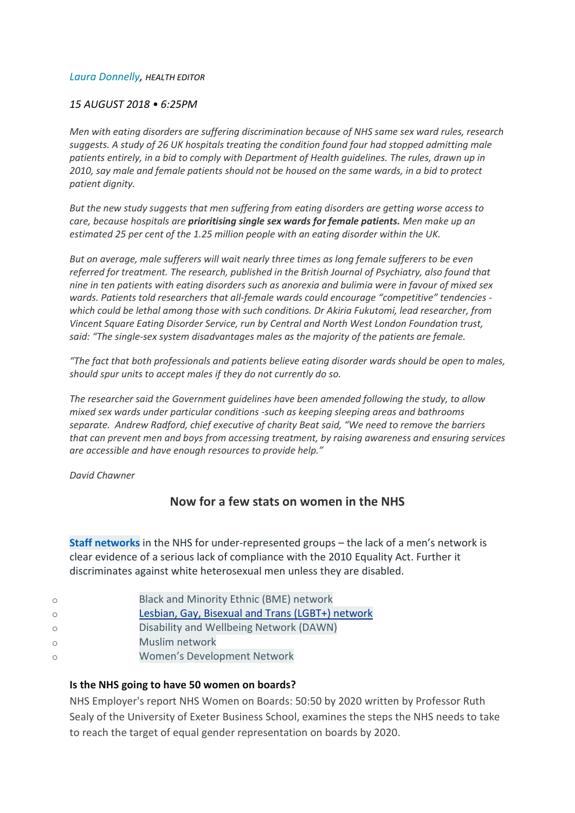#### *[Laura Donnelly,](https://www.telegraph.co.uk/authors/laura-donnelly/) HEALTH EDITOR*

#### *15 AUGUST 2018 • 6:25PM*

*Men with eating disorders are suffering discrimination because of NHS same sex ward rules, research suggests. A study of 26 UK hospitals treating the condition found four had stopped admitting male patients entirely, in a bid to comply with Department of Health guidelines. The rules, drawn up in 2010, say male and female patients should not be housed on the same wards, in a bid to protect patient dignity.*

*But the new study suggests that men suffering from eating disorders are getting worse access to care, because hospitals are prioritising single sex wards for female patients. Men make up an estimated 25 per cent of the 1.25 million people with an eating disorder within the UK.*

*But on average, male sufferers will wait nearly three times as long female sufferers to be even referred for treatment. The research, published in the British Journal of Psychiatry, also found that nine in ten patients with eating disorders such as anorexia and bulimia were in favour of mixed sex wards. Patients told researchers that all-female wards could encourage "competitive" tendencies which could be lethal among those with such conditions. Dr Akiria Fukutomi, lead researcher, from Vincent Square Eating Disorder Service, run by Central and North West London Foundation trust, said: "The single-sex system disadvantages males as the majority of the patients are female.*

*"The fact that both professionals and patients believe eating disorder wards should be open to males, should spur units to accept males if they do not currently do so.*

*The researcher said the Government guidelines have been amended following the study, to allow mixed sex wards under particular conditions -such as keeping sleeping areas and bathrooms separate. Andrew Radford, chief executive of charity Beat said, "We need to remove the barriers that can prevent men and boys from accessing treatment, by raising awareness and ensuring services are accessible and have enough resources to provide help."*

*David Chawner*

#### **Now for a few stats on women in the NHS**

**Staff [networks](https://www.england.nhs.uk/about/working-for/staff-networks/)** in the NHS for under-represented groups – the lack of a men's network is clear evidence of a serious lack of compliance with the 2010 Equality Act. Further it discriminates against white heterosexual men unless they are disabled.

| Black and Minority Ethnic (BME) network |
|-----------------------------------------|
|                                         |

- o Lesbian, Gay, Bisexual and Trans (LGBT+) [network](https://www.england.nhs.uk/about/working-for/staff-networks/lgbt/)
- o Disability and [Wellbeing](https://www.england.nhs.uk/about/working-for/staff-networks/dawn/) Network (DAWN)
- o Muslim [network](https://www.england.nhs.uk/about/working-for/staff-networks/muslim-network/)
- o Women's [Development](https://www.england.nhs.uk/about/working-for/staff-networks/wdn/) Network

#### **Is the NHS going to have 50 women on boards?**

NHS Employer's report NHS Women on Boards: 50:50 by 2020 written by Professor Ruth Sealy of the University of Exeter Business School, examines the steps the NHS needs to take to reach the target of equal gender representation on boards by 2020.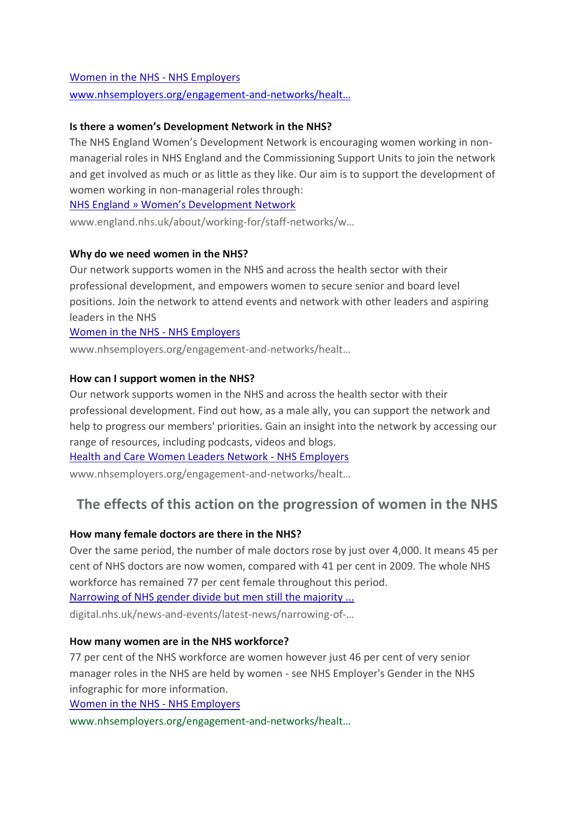#### [Women in the NHS -](https://www.nhsemployers.org/engagement-and-networks/health-and-care-women-leaders-network/women-in-the-nhs) NHS Employers

[www.nhsemployers.org/engagement-and-](http://www.nhsemployers.org/engagement-and-networks/healt…)networks/healt…

#### **Is there a women's Development Network in the NHS?**

The NHS England Women's Development Network is encouraging women working in nonmanagerial roles in NHS England and the Commissioning Support Units to join the network and get involved as much or as little as they like. Our aim is to support the development of women working in non-managerial roles through:

[NHS England » Women's Development Network](https://www.england.nhs.uk/about/working-for/staff-networks/wdn/)

www.england.nhs.uk/about/working-for/staff-networks/w…

#### **Why do we need women in the NHS?**

Our network supports women in the NHS and across the health sector with their professional development, and empowers women to secure senior and board level positions. Join the network to attend events and network with other leaders and aspiring leaders in the NHS

### [Women in the NHS -](https://www.nhsemployers.org/engagement-and-networks/health-and-care-women-leaders-network/women-in-the-nhs) NHS Employers

www.nhsemployers.org/engagement-and-networks/healt…

#### **How can I support women in the NHS?**

Our network supports women in the NHS and across the health sector with their professional development. Find out how, as a male ally, you can support the network and help to progress our members' priorities. Gain an insight into the network by accessing our range of resources, including podcasts, videos and blogs.

[Health and Care Women Leaders Network -](https://www.nhsemployers.org/engagement-and-networks/health-and-care-women-leaders-network) NHS Employers

www.nhsemployers.org/engagement-and-networks/healt…

# **The effects of this action on the progression of women in the NHS**

#### **How many female doctors are there in the NHS?**

Over the same period, the number of male doctors rose by just over 4,000. It means 45 per cent of NHS doctors are now women, compared with 41 per cent in 2009. The whole NHS workforce has remained 77 per cent female throughout this period.

[Narrowing of NHS gender divide but men still the majority ...](https://digital.nhs.uk/news-and-events/latest-news/narrowing-of-nhs-gender-divide-but-men-still-the-majority-in-senior-roles)

digital.nhs.uk/news-and-events/latest-news/narrowing-of-…

#### **How many women are in the NHS workforce?**

77 per cent of the NHS workforce are women however just 46 per cent of very senior manager roles in the NHS are held by women - see NHS Employer's Gender in the NHS infographic for more information.

[Women in the NHS -](https://www.nhsemployers.org/engagement-and-networks/health-and-care-women-leaders-network/women-in-the-nhs) NHS Employers

www.nhsemployers.org/engagement-and-networks/healt…